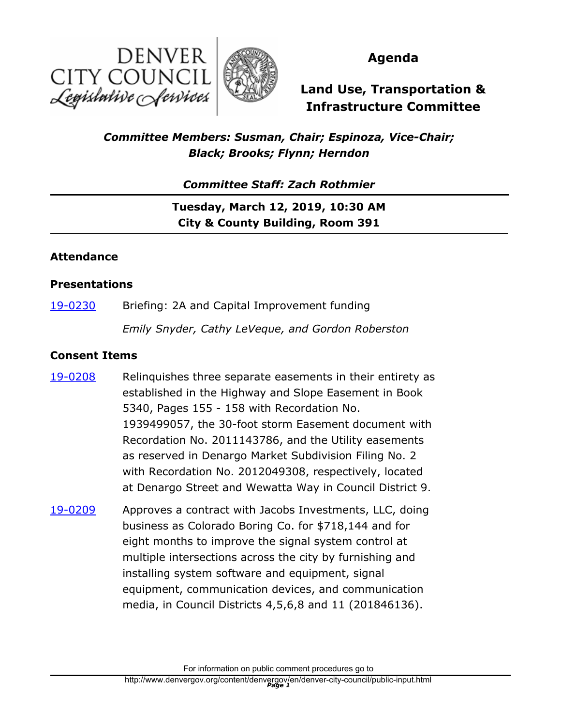



# **Agenda**

# **Land Use, Transportation & Infrastructure Committee**

# *Committee Members: Susman, Chair; Espinoza, Vice-Chair; Black; Brooks; Flynn; Herndon*

*Committee Staff: Zach Rothmier*

**Tuesday, March 12, 2019, 10:30 AM City & County Building, Room 391**

### **Attendance**

#### **Presentations**

[19-0230](http://denver.legistar.com/gateway.aspx?m=l&id=/matter.aspx?key=14771) Briefing: 2A and Capital Improvement funding

*Emily Snyder, Cathy LeVeque, and Gordon Roberston*

### **Consent Items**

- Relinquishes three separate easements in their entirety as established in the Highway and Slope Easement in Book 5340, Pages 155 - 158 with Recordation No. 1939499057, the 30-foot storm Easement document with Recordation No. 2011143786, and the Utility easements as reserved in Denargo Market Subdivision Filing No. 2 with Recordation No. 2012049308, respectively, located at Denargo Street and Wewatta Way in Council District 9. [19-0208](http://denver.legistar.com/gateway.aspx?m=l&id=/matter.aspx?key=14749)
- Approves a contract with Jacobs Investments, LLC, doing business as Colorado Boring Co. for \$718,144 and for eight months to improve the signal system control at multiple intersections across the city by furnishing and installing system software and equipment, signal equipment, communication devices, and communication media, in Council Districts 4,5,6,8 and 11 (201846136). [19-0209](http://denver.legistar.com/gateway.aspx?m=l&id=/matter.aspx?key=14750)

For information on public comment procedures go to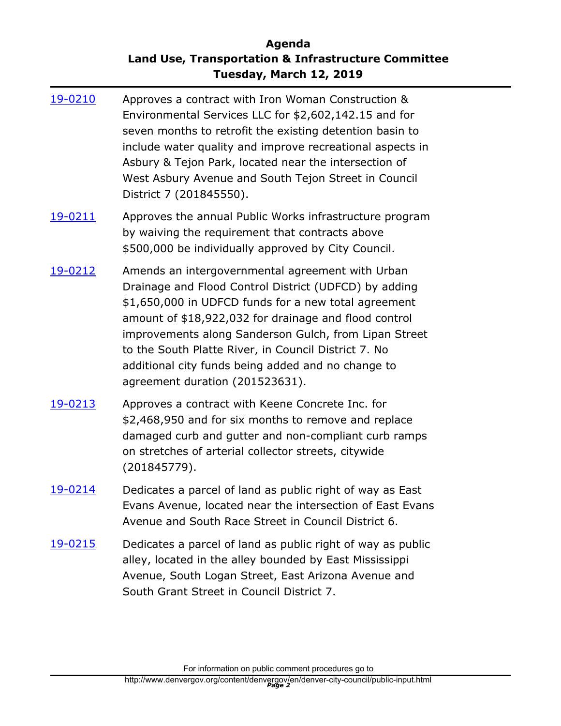# **Agenda Land Use, Transportation & Infrastructure Committee Tuesday, March 12, 2019**

- Approves a contract with Iron Woman Construction & Environmental Services LLC for \$2,602,142.15 and for seven months to retrofit the existing detention basin to include water quality and improve recreational aspects in Asbury & Tejon Park, located near the intersection of West Asbury Avenue and South Tejon Street in Council District 7 (201845550). [19-0210](http://denver.legistar.com/gateway.aspx?m=l&id=/matter.aspx?key=14751)
- Approves the annual Public Works infrastructure program by waiving the requirement that contracts above \$500,000 be individually approved by City Council. [19-0211](http://denver.legistar.com/gateway.aspx?m=l&id=/matter.aspx?key=14752)
- Amends an intergovernmental agreement with Urban Drainage and Flood Control District (UDFCD) by adding \$1,650,000 in UDFCD funds for a new total agreement amount of \$18,922,032 for drainage and flood control improvements along Sanderson Gulch, from Lipan Street to the South Platte River, in Council District 7. No additional city funds being added and no change to agreement duration (201523631). [19-0212](http://denver.legistar.com/gateway.aspx?m=l&id=/matter.aspx?key=14753)
- Approves a contract with Keene Concrete Inc. for \$2,468,950 and for six months to remove and replace damaged curb and gutter and non-compliant curb ramps on stretches of arterial collector streets, citywide (201845779). [19-0213](http://denver.legistar.com/gateway.aspx?m=l&id=/matter.aspx?key=14754)
- Dedicates a parcel of land as public right of way as East Evans Avenue, located near the intersection of East Evans Avenue and South Race Street in Council District 6. [19-0214](http://denver.legistar.com/gateway.aspx?m=l&id=/matter.aspx?key=14755)
- Dedicates a parcel of land as public right of way as public alley, located in the alley bounded by East Mississippi Avenue, South Logan Street, East Arizona Avenue and South Grant Street in Council District 7. [19-0215](http://denver.legistar.com/gateway.aspx?m=l&id=/matter.aspx?key=14756)

For information on public comment procedures go to